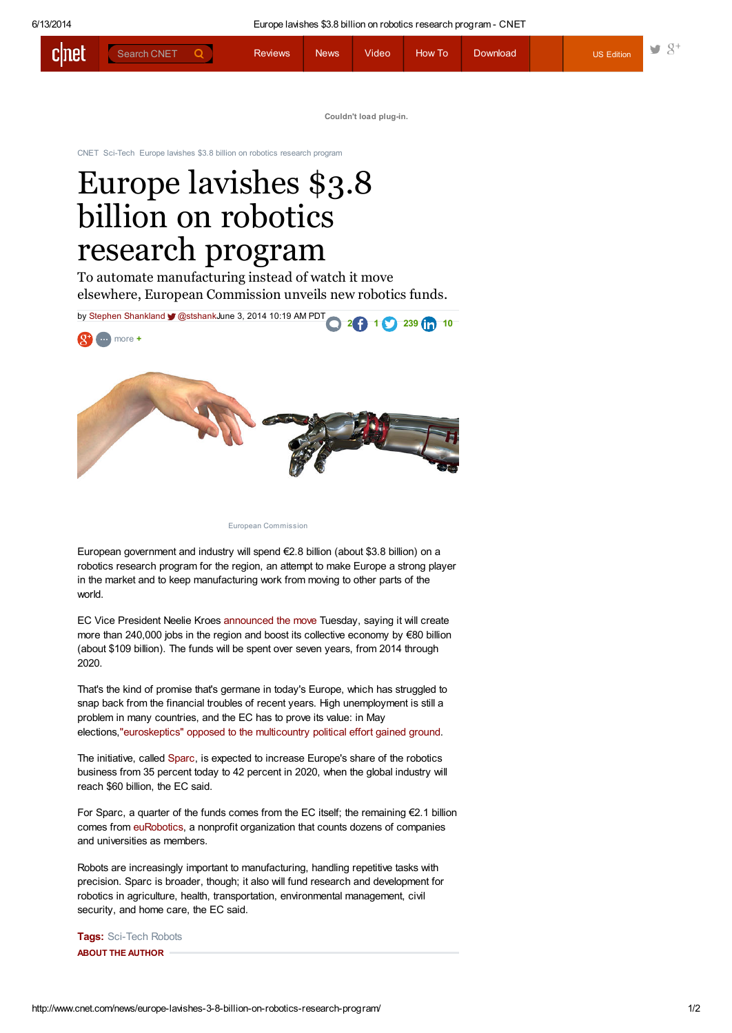| cinet | Search CNET | <b>Reviews</b> | <b>News</b> | Video | <b>How To</b> | Download <sup>1</sup> | <b>US Edition</b> | - 37 |
|-------|-------------|----------------|-------------|-------|---------------|-----------------------|-------------------|------|
|       |             |                |             |       |               |                       |                   |      |

Couldn't load plug-in.

[CNET](http://www.cnet.com/) [Sci-Tech](http://www.cnet.com/topics/sci-tech/) Europe lavishes \$3.8 billion on robotics research program

## Europe lavishes \$3.8 billion on robotics research program

To automate manufacturing instead of watch it move elsewhere, European Commission unveils new robotics funds.



European Commission

European government and industry will spend €2.8 billion (about \$3.8 billion) on a robotics research program for the region, an attempt to make Europe a strong player in the market and to keep manufacturing work from moving to other parts of the world.

EC Vice President Neelie Kroes [announced](http://europa.eu/rapid/press-release_IP-14-619_en.htm) the move Tuesday, saying it will create more than 240,000 jobs in the region and boost its collective economy by €80 billion (about \$109 billion). The funds will be spent over seven years, from 2014 through 2020.

That's the kind of promise that's germane in today's Europe, which has struggled to snap back from the financial troubles of recent years. High unemployment is still a problem in many countries, and the EC has to prove its value: in May elections,["euroskeptics"](http://www.reuters.com/article/2014/05/26/us-eu-election-idUSBREA4N0DK20140526) opposed to the multicountry political effort gained ground.

The initiative, called [Sparc,](http://sparc-robotics.eu/) is expected to increase Europe's share of the robotics business from 35 percent today to 42 percent in 2020, when the global industry will reach \$60 billion, the EC said.

For Sparc, a quarter of the funds comes from the EC itself; the remaining €2.1 billion comes from [euRobotics](http://www.eu-robotics.net/), a nonprofit organization that counts dozens of companies and universities as members.

Robots are increasingly important to manufacturing, handling repetitive tasks with precision. Sparc is broader, though; it also will fund research and development for robotics in agriculture, health, transportation, environmental management, civil security, and home care, the EC said.

Tags: [Sci-Tech](http://www.cnet.com/topics/sci-tech/) [Robots](http://www.cnet.com/tags/robots/) ABOUT THE AUTHOR